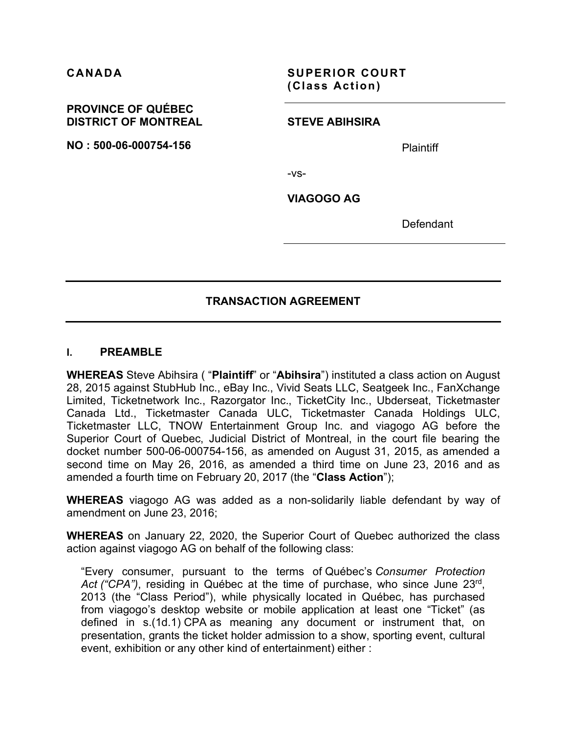**CANADA SUPERIOR COURT (Class Action)**

#### **PROVINCE OF QUÉBEC DISTRICT OF MONTREAL**

**NO : 500-06-000754-156**

#### **STEVE ABIHSIRA**

**Plaintiff** 

-vs-

**VIAGOGO AG**

**Defendant** 

# **TRANSACTION AGREEMENT**

#### **I. PREAMBLE**

**WHEREAS** Steve Abihsira ( "**Plaintiff**" or "**Abihsira**") instituted a class action on August 28, 2015 against StubHub Inc., eBay Inc., Vivid Seats LLC, Seatgeek Inc., FanXchange Limited, Ticketnetwork Inc., Razorgator Inc., TicketCity Inc., Ubderseat, Ticketmaster Canada Ltd., Ticketmaster Canada ULC, Ticketmaster Canada Holdings ULC, Ticketmaster LLC, TNOW Entertainment Group Inc. and viagogo AG before the Superior Court of Quebec, Judicial District of Montreal, in the court file bearing the docket number 500-06-000754-156, as amended on August 31, 2015, as amended a second time on May 26, 2016, as amended a third time on June 23, 2016 and as amended a fourth time on February 20, 2017 (the "**Class Action**");

**WHEREAS** viagogo AG was added as a non-solidarily liable defendant by way of amendment on June 23, 2016;

**WHEREAS** on January 22, 2020, the Superior Court of Quebec authorized the class action against viagogo AG on behalf of the following class:

"Every consumer, pursuant to the terms of Québec's *Consumer Protection Act ("CPA")*, residing in Québec at the time of purchase, who since June 23rd, 2013 (the "Class Period"), while physically located in Québec, has purchased from viagogo's desktop website or mobile application at least one "Ticket" (as defined in s.(1d.1) CPA as meaning any document or instrument that, on presentation, grants the ticket holder admission to a show, sporting event, cultural event, exhibition or any other kind of entertainment) either :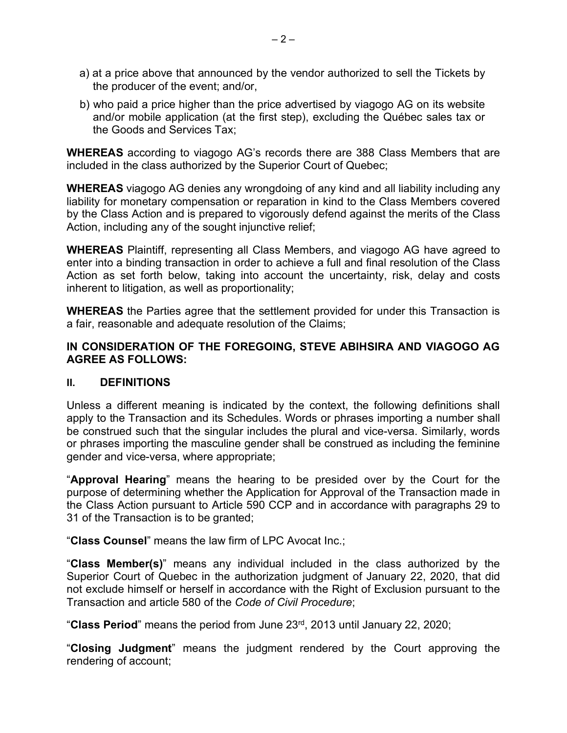- a) at a price above that announced by the vendor authorized to sell the Tickets by the producer of the event; and/or,
- b) who paid a price higher than the price advertised by viagogo AG on its website and/or mobile application (at the first step), excluding the Québec sales tax or the Goods and Services Tax;

**WHEREAS** according to viagogo AG's records there are 388 Class Members that are included in the class authorized by the Superior Court of Quebec;

**WHEREAS** viagogo AG denies any wrongdoing of any kind and all liability including any liability for monetary compensation or reparation in kind to the Class Members covered by the Class Action and is prepared to vigorously defend against the merits of the Class Action, including any of the sought injunctive relief;

**WHEREAS** Plaintiff, representing all Class Members, and viagogo AG have agreed to enter into a binding transaction in order to achieve a full and final resolution of the Class Action as set forth below, taking into account the uncertainty, risk, delay and costs inherent to litigation, as well as proportionality;

**WHEREAS** the Parties agree that the settlement provided for under this Transaction is a fair, reasonable and adequate resolution of the Claims;

# **IN CONSIDERATION OF THE FOREGOING, STEVE ABIHSIRA AND VIAGOGO AG AGREE AS FOLLOWS:**

## **II. DEFINITIONS**

Unless a different meaning is indicated by the context, the following definitions shall apply to the Transaction and its Schedules. Words or phrases importing a number shall be construed such that the singular includes the plural and vice-versa. Similarly, words or phrases importing the masculine gender shall be construed as including the feminine gender and vice-versa, where appropriate;

"**Approval Hearing**" means the hearing to be presided over by the Court for the purpose of determining whether the Application for Approval of the Transaction made in the Class Action pursuant to Article 590 CCP and in accordance with paragraphs 29 to 31 of the Transaction is to be granted;

"**Class Counsel**" means the law firm of LPC Avocat Inc.;

"**Class Member(s)**" means any individual included in the class authorized by the Superior Court of Quebec in the authorization judgment of January 22, 2020, that did not exclude himself or herself in accordance with the Right of Exclusion pursuant to the Transaction and article 580 of the *Code of Civil Procedure*;

"**Class Period**" means the period from June 23rd, 2013 until January 22, 2020;

"**Closing Judgment**" means the judgment rendered by the Court approving the rendering of account;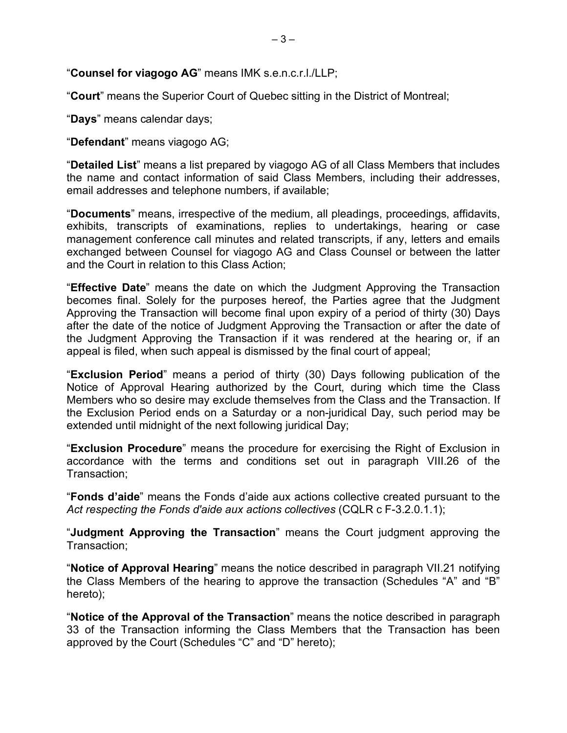## "**Counsel for viagogo AG**" means IMK s.e.n.c.r.l./LLP;

"**Court**" means the Superior Court of Quebec sitting in the District of Montreal;

"**Days**" means calendar days;

"**Defendant**" means viagogo AG;

"**Detailed List**" means a list prepared by viagogo AG of all Class Members that includes the name and contact information of said Class Members, including their addresses, email addresses and telephone numbers, if available;

"**Documents**" means, irrespective of the medium, all pleadings, proceedings, affidavits, exhibits, transcripts of examinations, replies to undertakings, hearing or case management conference call minutes and related transcripts, if any, letters and emails exchanged between Counsel for viagogo AG and Class Counsel or between the latter and the Court in relation to this Class Action;

"**Effective Date**" means the date on which the Judgment Approving the Transaction becomes final. Solely for the purposes hereof, the Parties agree that the Judgment Approving the Transaction will become final upon expiry of a period of thirty (30) Days after the date of the notice of Judgment Approving the Transaction or after the date of the Judgment Approving the Transaction if it was rendered at the hearing or, if an appeal is filed, when such appeal is dismissed by the final court of appeal;

"**Exclusion Period**" means a period of thirty (30) Days following publication of the Notice of Approval Hearing authorized by the Court, during which time the Class Members who so desire may exclude themselves from the Class and the Transaction. If the Exclusion Period ends on a Saturday or a non-juridical Day, such period may be extended until midnight of the next following juridical Day;

"**Exclusion Procedure**" means the procedure for exercising the Right of Exclusion in accordance with the terms and conditions set out in paragraph VIII.26 of the Transaction;

"**Fonds d'aide**" means the Fonds d'aide aux actions collective created pursuant to the *Act respecting the Fonds d'aide aux actions collectives* (CQLR c F-3.2.0.1.1);

"**Judgment Approving the Transaction**" means the Court judgment approving the Transaction;

"**Notice of Approval Hearing**" means the notice described in paragraph VII.21 notifying the Class Members of the hearing to approve the transaction (Schedules "A" and "B" hereto);

"**Notice of the Approval of the Transaction**" means the notice described in paragraph 33 of the Transaction informing the Class Members that the Transaction has been approved by the Court (Schedules "C" and "D" hereto);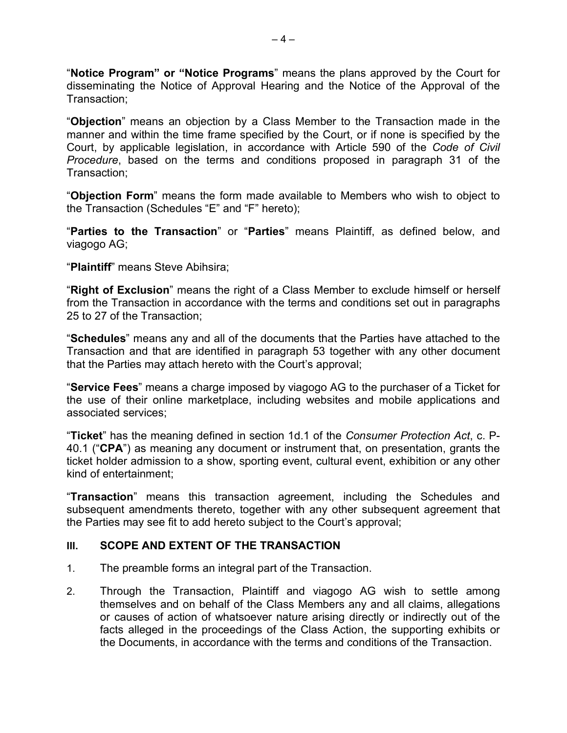"**Notice Program" or "Notice Programs**" means the plans approved by the Court for disseminating the Notice of Approval Hearing and the Notice of the Approval of the Transaction;

"**Objection**" means an objection by a Class Member to the Transaction made in the manner and within the time frame specified by the Court, or if none is specified by the Court, by applicable legislation, in accordance with Article 590 of the *Code of Civil Procedure*, based on the terms and conditions proposed in paragraph 31 of the Transaction;

"**Objection Form**" means the form made available to Members who wish to object to the Transaction (Schedules "E" and "F" hereto);

"**Parties to the Transaction**" or "**Parties**" means Plaintiff, as defined below, and viagogo AG;

"**Plaintiff**" means Steve Abihsira;

"**Right of Exclusion**" means the right of a Class Member to exclude himself or herself from the Transaction in accordance with the terms and conditions set out in paragraphs 25 to 27 of the Transaction;

"**Schedules**" means any and all of the documents that the Parties have attached to the Transaction and that are identified in paragraph 53 together with any other document that the Parties may attach hereto with the Court's approval;

"**Service Fees**" means a charge imposed by viagogo AG to the purchaser of a Ticket for the use of their online marketplace, including websites and mobile applications and associated services;

"**Ticket**" has the meaning defined in section 1d.1 of the *Consumer Protection Act*, c. P-40.1 ("**CPA**") as meaning any document or instrument that, on presentation, grants the ticket holder admission to a show, sporting event, cultural event, exhibition or any other kind of entertainment;

"**Transaction**" means this transaction agreement, including the Schedules and subsequent amendments thereto, together with any other subsequent agreement that the Parties may see fit to add hereto subject to the Court's approval;

## **III. SCOPE AND EXTENT OF THE TRANSACTION**

- 1. The preamble forms an integral part of the Transaction.
- 2. Through the Transaction, Plaintiff and viagogo AG wish to settle among themselves and on behalf of the Class Members any and all claims, allegations or causes of action of whatsoever nature arising directly or indirectly out of the facts alleged in the proceedings of the Class Action, the supporting exhibits or the Documents, in accordance with the terms and conditions of the Transaction.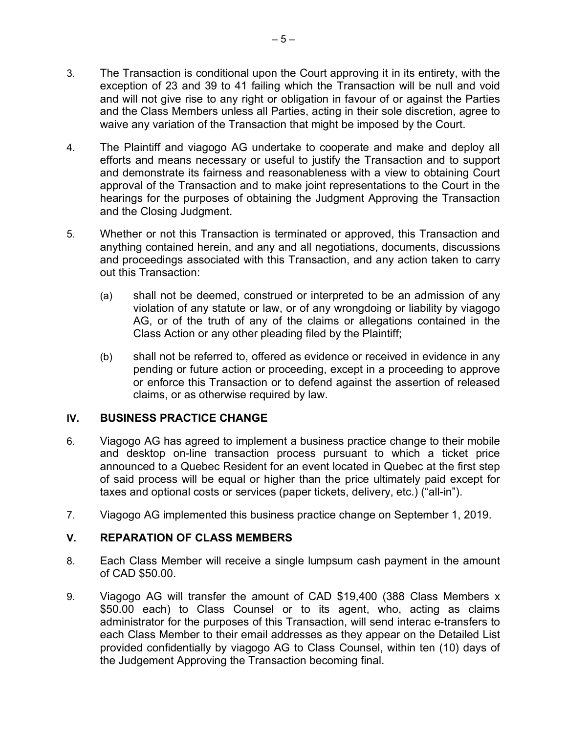- 3. The Transaction is conditional upon the Court approving it in its entirety, with the exception of 23 and 39 to 41 failing which the Transaction will be null and void and will not give rise to any right or obligation in favour of or against the Parties and the Class Members unless all Parties, acting in their sole discretion, agree to waive any variation of the Transaction that might be imposed by the Court.
- 4. The Plaintiff and viagogo AG undertake to cooperate and make and deploy all efforts and means necessary or useful to justify the Transaction and to support and demonstrate its fairness and reasonableness with a view to obtaining Court approval of the Transaction and to make joint representations to the Court in the hearings for the purposes of obtaining the Judgment Approving the Transaction and the Closing Judgment.
- 5. Whether or not this Transaction is terminated or approved, this Transaction and anything contained herein, and any and all negotiations, documents, discussions and proceedings associated with this Transaction, and any action taken to carry out this Transaction:
	- (a) shall not be deemed, construed or interpreted to be an admission of any violation of any statute or law, or of any wrongdoing or liability by viagogo AG, or of the truth of any of the claims or allegations contained in the Class Action or any other pleading filed by the Plaintiff;
	- (b) shall not be referred to, offered as evidence or received in evidence in any pending or future action or proceeding, except in a proceeding to approve or enforce this Transaction or to defend against the assertion of released claims, or as otherwise required by law.

## **IV. BUSINESS PRACTICE CHANGE**

- 6. Viagogo AG has agreed to implement a business practice change to their mobile and desktop on-line transaction process pursuant to which a ticket price announced to a Quebec Resident for an event located in Quebec at the first step of said process will be equal or higher than the price ultimately paid except for taxes and optional costs or services (paper tickets, delivery, etc.) ("all-in").
- 7. Viagogo AG implemented this business practice change on September 1, 2019.

## **V. REPARATION OF CLASS MEMBERS**

- 8. Each Class Member will receive a single lumpsum cash payment in the amount of CAD \$50.00.
- 9. Viagogo AG will transfer the amount of CAD \$19,400 (388 Class Members x \$50.00 each) to Class Counsel or to its agent, who, acting as claims administrator for the purposes of this Transaction, will send interac e-transfers to each Class Member to their email addresses as they appear on the Detailed List provided confidentially by viagogo AG to Class Counsel, within ten (10) days of the Judgement Approving the Transaction becoming final.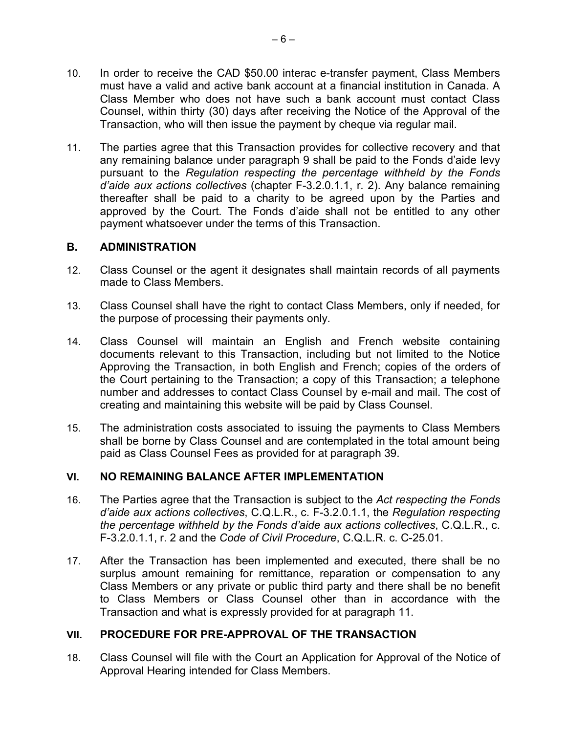- 10. In order to receive the CAD \$50.00 interac e-transfer payment, Class Members must have a valid and active bank account at a financial institution in Canada. A Class Member who does not have such a bank account must contact Class Counsel, within thirty (30) days after receiving the Notice of the Approval of the Transaction, who will then issue the payment by cheque via regular mail.
- 11. The parties agree that this Transaction provides for collective recovery and that any remaining balance under paragraph 9 shall be paid to the Fonds d'aide levy pursuant to the *Regulation respecting the percentage withheld by the Fonds d'aide aux actions collectives* (chapter F-3.2.0.1.1, r. 2). Any balance remaining thereafter shall be paid to a charity to be agreed upon by the Parties and approved by the Court. The Fonds d'aide shall not be entitled to any other payment whatsoever under the terms of this Transaction.

## **B. ADMINISTRATION**

- 12. Class Counsel or the agent it designates shall maintain records of all payments made to Class Members.
- 13. Class Counsel shall have the right to contact Class Members, only if needed, for the purpose of processing their payments only.
- 14. Class Counsel will maintain an English and French website containing documents relevant to this Transaction, including but not limited to the Notice Approving the Transaction, in both English and French; copies of the orders of the Court pertaining to the Transaction; a copy of this Transaction; a telephone number and addresses to contact Class Counsel by e-mail and mail. The cost of creating and maintaining this website will be paid by Class Counsel.
- 15. The administration costs associated to issuing the payments to Class Members shall be borne by Class Counsel and are contemplated in the total amount being paid as Class Counsel Fees as provided for at paragraph 39.

# **VI. NO REMAINING BALANCE AFTER IMPLEMENTATION**

- 16. The Parties agree that the Transaction is subject to the *Act respecting the Fonds d'aide aux actions collectives*, C.Q.L.R., c. F-3.2.0.1.1, the *Regulation respecting the percentage withheld by the Fonds d'aide aux actions collectives*, C.Q.L.R., c. F-3.2.0.1.1, r. 2 and the *Code of Civil Procedure*, C.Q.L.R. c. C-25.01.
- 17. After the Transaction has been implemented and executed, there shall be no surplus amount remaining for remittance, reparation or compensation to any Class Members or any private or public third party and there shall be no benefit to Class Members or Class Counsel other than in accordance with the Transaction and what is expressly provided for at paragraph 11.

# **VII. PROCEDURE FOR PRE-APPROVAL OF THE TRANSACTION**

18. Class Counsel will file with the Court an Application for Approval of the Notice of Approval Hearing intended for Class Members.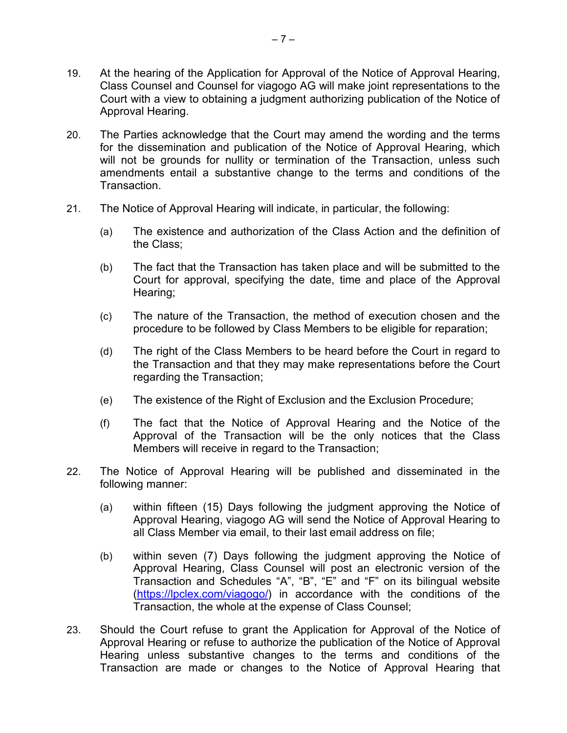- 19. At the hearing of the Application for Approval of the Notice of Approval Hearing, Class Counsel and Counsel for viagogo AG will make joint representations to the Court with a view to obtaining a judgment authorizing publication of the Notice of Approval Hearing.
- 20. The Parties acknowledge that the Court may amend the wording and the terms for the dissemination and publication of the Notice of Approval Hearing, which will not be grounds for nullity or termination of the Transaction, unless such amendments entail a substantive change to the terms and conditions of the Transaction.
- 21. The Notice of Approval Hearing will indicate, in particular, the following:
	- (a) The existence and authorization of the Class Action and the definition of the Class;
	- (b) The fact that the Transaction has taken place and will be submitted to the Court for approval, specifying the date, time and place of the Approval Hearing;
	- (c) The nature of the Transaction, the method of execution chosen and the procedure to be followed by Class Members to be eligible for reparation;
	- (d) The right of the Class Members to be heard before the Court in regard to the Transaction and that they may make representations before the Court regarding the Transaction;
	- (e) The existence of the Right of Exclusion and the Exclusion Procedure;
	- (f) The fact that the Notice of Approval Hearing and the Notice of the Approval of the Transaction will be the only notices that the Class Members will receive in regard to the Transaction;
- 22. The Notice of Approval Hearing will be published and disseminated in the following manner:
	- (a) within fifteen (15) Days following the judgment approving the Notice of Approval Hearing, viagogo AG will send the Notice of Approval Hearing to all Class Member via email, to their last email address on file;
	- (b) within seven (7) Days following the judgment approving the Notice of Approval Hearing, Class Counsel will post an electronic version of the Transaction and Schedules "A", "B", "E" and "F" on its bilingual website (https://lpclex.com/viagogo/) in accordance with the conditions of the Transaction, the whole at the expense of Class Counsel;
- 23. Should the Court refuse to grant the Application for Approval of the Notice of Approval Hearing or refuse to authorize the publication of the Notice of Approval Hearing unless substantive changes to the terms and conditions of the Transaction are made or changes to the Notice of Approval Hearing that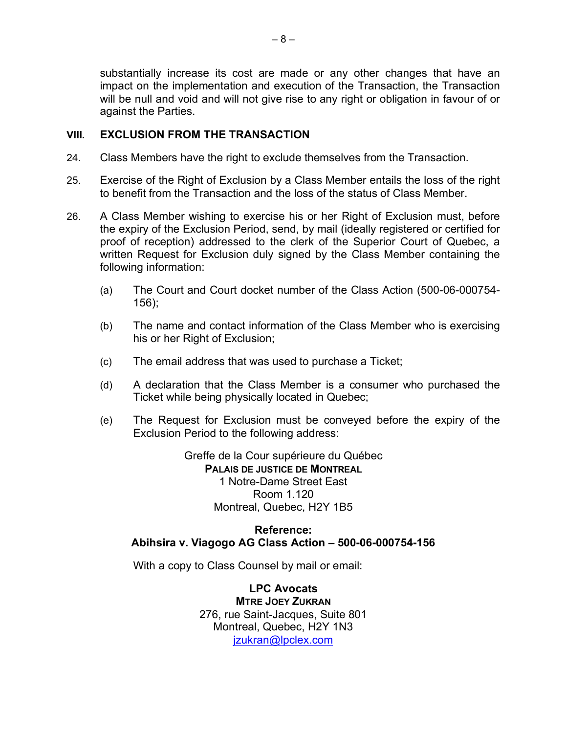substantially increase its cost are made or any other changes that have an impact on the implementation and execution of the Transaction, the Transaction will be null and void and will not give rise to any right or obligation in favour of or against the Parties.

## **VIII. EXCLUSION FROM THE TRANSACTION**

- 24. Class Members have the right to exclude themselves from the Transaction.
- 25. Exercise of the Right of Exclusion by a Class Member entails the loss of the right to benefit from the Transaction and the loss of the status of Class Member.
- 26. A Class Member wishing to exercise his or her Right of Exclusion must, before the expiry of the Exclusion Period, send, by mail (ideally registered or certified for proof of reception) addressed to the clerk of the Superior Court of Quebec, a written Request for Exclusion duly signed by the Class Member containing the following information:
	- (a) The Court and Court docket number of the Class Action (500-06-000754- 156);
	- (b) The name and contact information of the Class Member who is exercising his or her Right of Exclusion;
	- (c) The email address that was used to purchase a Ticket;
	- (d) A declaration that the Class Member is a consumer who purchased the Ticket while being physically located in Quebec;
	- (e) The Request for Exclusion must be conveyed before the expiry of the Exclusion Period to the following address:

Greffe de la Cour supérieure du Québec **PALAIS DE JUSTICE DE MONTREAL** 1 Notre-Dame Street East Room 1.120 Montreal, Quebec, H2Y 1B5

## **Reference: Abihsira v. Viagogo AG Class Action – 500-06-000754-156**

With a copy to Class Counsel by mail or email:

**LPC Avocats MTRE JOEY ZUKRAN** 276, rue Saint-Jacques, Suite 801 Montreal, Quebec, H2Y 1N3 jzukran@lpclex.com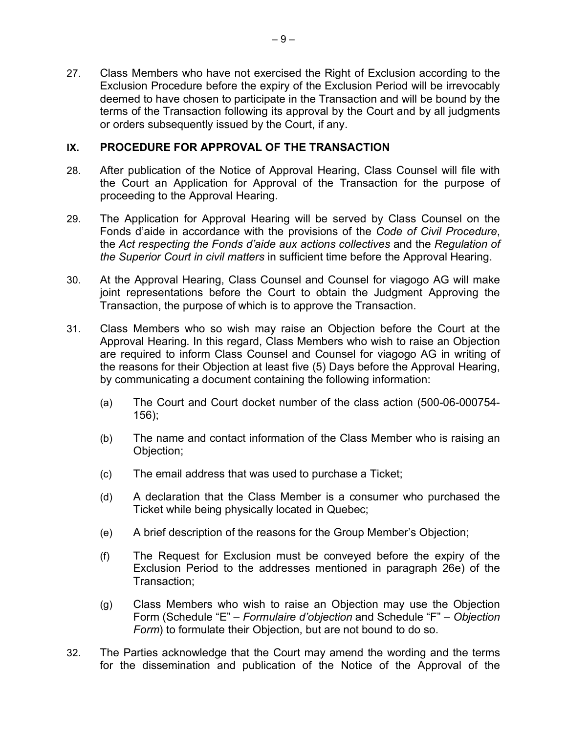27. Class Members who have not exercised the Right of Exclusion according to the Exclusion Procedure before the expiry of the Exclusion Period will be irrevocably deemed to have chosen to participate in the Transaction and will be bound by the terms of the Transaction following its approval by the Court and by all judgments or orders subsequently issued by the Court, if any.

# **IX. PROCEDURE FOR APPROVAL OF THE TRANSACTION**

- 28. After publication of the Notice of Approval Hearing, Class Counsel will file with the Court an Application for Approval of the Transaction for the purpose of proceeding to the Approval Hearing.
- 29. The Application for Approval Hearing will be served by Class Counsel on the Fonds d'aide in accordance with the provisions of the *Code of Civil Procedure*, the *Act respecting the Fonds d'aide aux actions collectives* and the *Regulation of the Superior Court in civil matters* in sufficient time before the Approval Hearing.
- 30. At the Approval Hearing, Class Counsel and Counsel for viagogo AG will make joint representations before the Court to obtain the Judgment Approving the Transaction, the purpose of which is to approve the Transaction.
- 31. Class Members who so wish may raise an Objection before the Court at the Approval Hearing. In this regard, Class Members who wish to raise an Objection are required to inform Class Counsel and Counsel for viagogo AG in writing of the reasons for their Objection at least five (5) Days before the Approval Hearing, by communicating a document containing the following information:
	- (a) The Court and Court docket number of the class action (500-06-000754- 156);
	- (b) The name and contact information of the Class Member who is raising an Objection;
	- (c) The email address that was used to purchase a Ticket;
	- (d) A declaration that the Class Member is a consumer who purchased the Ticket while being physically located in Quebec;
	- (e) A brief description of the reasons for the Group Member's Objection;
	- (f) The Request for Exclusion must be conveyed before the expiry of the Exclusion Period to the addresses mentioned in paragraph 26e) of the Transaction;
	- (g) Class Members who wish to raise an Objection may use the Objection Form (Schedule "E" – *Formulaire d'objection* and Schedule "F" – *Objection Form*) to formulate their Objection, but are not bound to do so.
- 32. The Parties acknowledge that the Court may amend the wording and the terms for the dissemination and publication of the Notice of the Approval of the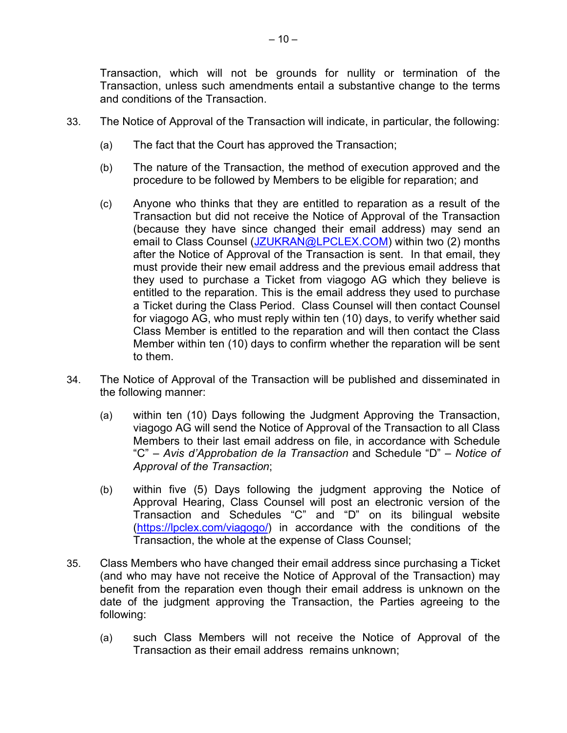Transaction, which will not be grounds for nullity or termination of the Transaction, unless such amendments entail a substantive change to the terms and conditions of the Transaction.

- 33. The Notice of Approval of the Transaction will indicate, in particular, the following:
	- (a) The fact that the Court has approved the Transaction;
	- (b) The nature of the Transaction, the method of execution approved and the procedure to be followed by Members to be eligible for reparation; and
	- (c) Anyone who thinks that they are entitled to reparation as a result of the Transaction but did not receive the Notice of Approval of the Transaction (because they have since changed their email address) may send an email to Class Counsel (JZUKRAN@LPCLEX.COM) within two (2) months after the Notice of Approval of the Transaction is sent. In that email, they must provide their new email address and the previous email address that they used to purchase a Ticket from viagogo AG which they believe is entitled to the reparation. This is the email address they used to purchase a Ticket during the Class Period. Class Counsel will then contact Counsel for viagogo AG, who must reply within ten (10) days, to verify whether said Class Member is entitled to the reparation and will then contact the Class Member within ten (10) days to confirm whether the reparation will be sent to them.
- 34. The Notice of Approval of the Transaction will be published and disseminated in the following manner:
	- (a) within ten (10) Days following the Judgment Approving the Transaction, viagogo AG will send the Notice of Approval of the Transaction to all Class Members to their last email address on file, in accordance with Schedule "C" – *Avis d'Approbation de la Transaction* and Schedule "D" – *Notice of Approval of the Transaction*;
	- (b) within five (5) Days following the judgment approving the Notice of Approval Hearing, Class Counsel will post an electronic version of the Transaction and Schedules "C" and "D" on its bilingual website (https://lpclex.com/viagogo/) in accordance with the conditions of the Transaction, the whole at the expense of Class Counsel;
- 35. Class Members who have changed their email address since purchasing a Ticket (and who may have not receive the Notice of Approval of the Transaction) may benefit from the reparation even though their email address is unknown on the date of the judgment approving the Transaction, the Parties agreeing to the following:
	- (a) such Class Members will not receive the Notice of Approval of the Transaction as their email address remains unknown;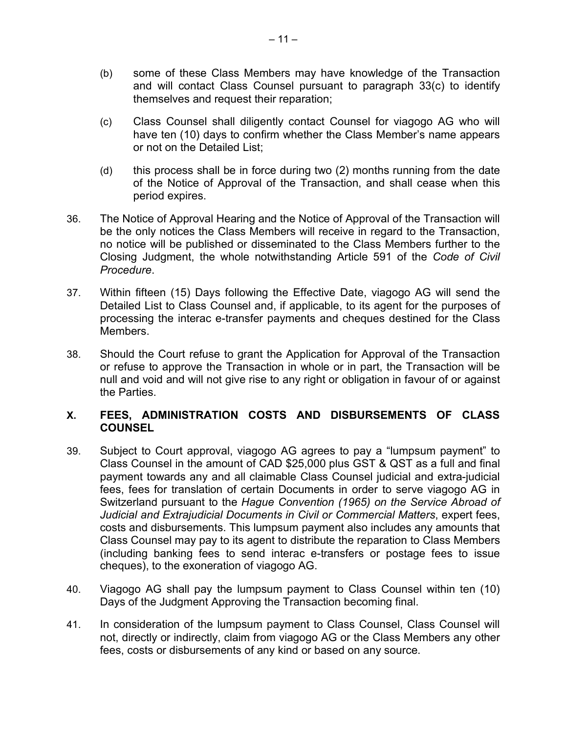- (b) some of these Class Members may have knowledge of the Transaction and will contact Class Counsel pursuant to paragraph 33(c) to identify themselves and request their reparation;
- (c) Class Counsel shall diligently contact Counsel for viagogo AG who will have ten (10) days to confirm whether the Class Member's name appears or not on the Detailed List;
- (d) this process shall be in force during two (2) months running from the date of the Notice of Approval of the Transaction, and shall cease when this period expires.
- 36. The Notice of Approval Hearing and the Notice of Approval of the Transaction will be the only notices the Class Members will receive in regard to the Transaction, no notice will be published or disseminated to the Class Members further to the Closing Judgment, the whole notwithstanding Article 591 of the *Code of Civil Procedure*.
- 37. Within fifteen (15) Days following the Effective Date, viagogo AG will send the Detailed List to Class Counsel and, if applicable, to its agent for the purposes of processing the interac e-transfer payments and cheques destined for the Class Members.
- 38. Should the Court refuse to grant the Application for Approval of the Transaction or refuse to approve the Transaction in whole or in part, the Transaction will be null and void and will not give rise to any right or obligation in favour of or against the Parties.

## **X. FEES, ADMINISTRATION COSTS AND DISBURSEMENTS OF CLASS COUNSEL**

- 39. Subject to Court approval, viagogo AG agrees to pay a "lumpsum payment" to Class Counsel in the amount of CAD \$25,000 plus GST & QST as a full and final payment towards any and all claimable Class Counsel judicial and extra-judicial fees, fees for translation of certain Documents in order to serve viagogo AG in Switzerland pursuant to the *Hague Convention (1965) on the Service Abroad of Judicial and Extrajudicial Documents in Civil or Commercial Matters*, expert fees, costs and disbursements. This lumpsum payment also includes any amounts that Class Counsel may pay to its agent to distribute the reparation to Class Members (including banking fees to send interac e-transfers or postage fees to issue cheques), to the exoneration of viagogo AG.
- 40. Viagogo AG shall pay the lumpsum payment to Class Counsel within ten (10) Days of the Judgment Approving the Transaction becoming final.
- 41. In consideration of the lumpsum payment to Class Counsel, Class Counsel will not, directly or indirectly, claim from viagogo AG or the Class Members any other fees, costs or disbursements of any kind or based on any source.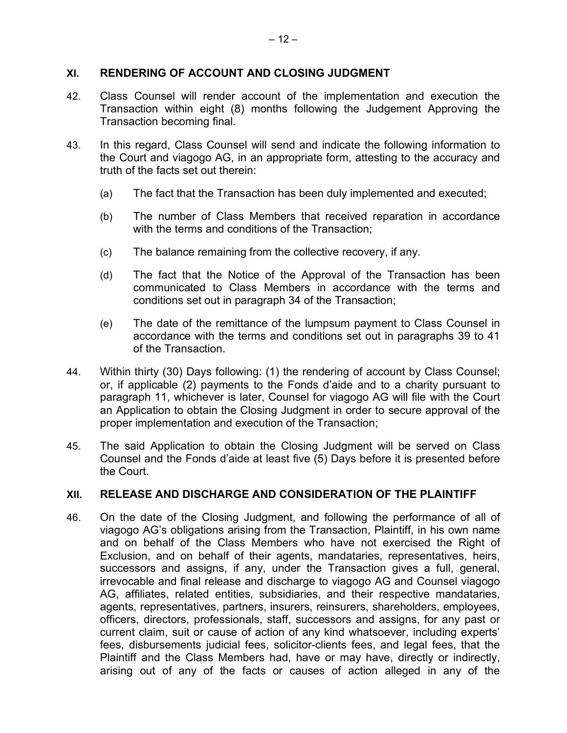## **XI. RENDERING OF ACCOUNT AND CLOSING JUDGMENT**

- 42. Class Counsel will render account of the implementation and execution the Transaction within eight (8) months following the Judgement Approving the Transaction becoming final.
- 43. In this regard, Class Counsel will send and indicate the following information to the Court and viagogo AG, in an appropriate form, attesting to the accuracy and truth of the facts set out therein:
	- (a) The fact that the Transaction has been duly implemented and executed;
	- (b) The number of Class Members that received reparation in accordance with the terms and conditions of the Transaction;
	- (c) The balance remaining from the collective recovery, if any.
	- (d) The fact that the Notice of the Approval of the Transaction has been communicated to Class Members in accordance with the terms and conditions set out in paragraph 34 of the Transaction;
	- (e) The date of the remittance of the lumpsum payment to Class Counsel in accordance with the terms and conditions set out in paragraphs 39 to 41 of the Transaction.
- 44. Within thirty (30) Days following: (1) the rendering of account by Class Counsel; or, if applicable (2) payments to the Fonds d'aide and to a charity pursuant to paragraph 11, whichever is later, Counsel for viagogo AG will file with the Court an Application to obtain the Closing Judgment in order to secure approval of the proper implementation and execution of the Transaction;
- 45. The said Application to obtain the Closing Judgment will be served on Class Counsel and the Fonds d'aide at least five (5) Days before it is presented before the Court.

## **XII. RELEASE AND DISCHARGE AND CONSIDERATION OF THE PLAINTIFF**

46. On the date of the Closing Judgment, and following the performance of all of viagogo AG's obligations arising from the Transaction, Plaintiff, in his own name and on behalf of the Class Members who have not exercised the Right of Exclusion, and on behalf of their agents, mandataries, representatives, heirs, successors and assigns, if any, under the Transaction gives a full, general, irrevocable and final release and discharge to viagogo AG and Counsel viagogo AG, affiliates, related entities, subsidiaries, and their respective mandataries, agents, representatives, partners, insurers, reinsurers, shareholders, employees, officers, directors, professionals, staff, successors and assigns, for any past or current claim, suit or cause of action of any kind whatsoever, including experts' fees, disbursements judicial fees, solicitor-clients fees, and legal fees, that the Plaintiff and the Class Members had, have or may have, directly or indirectly, arising out of any of the facts or causes of action alleged in any of the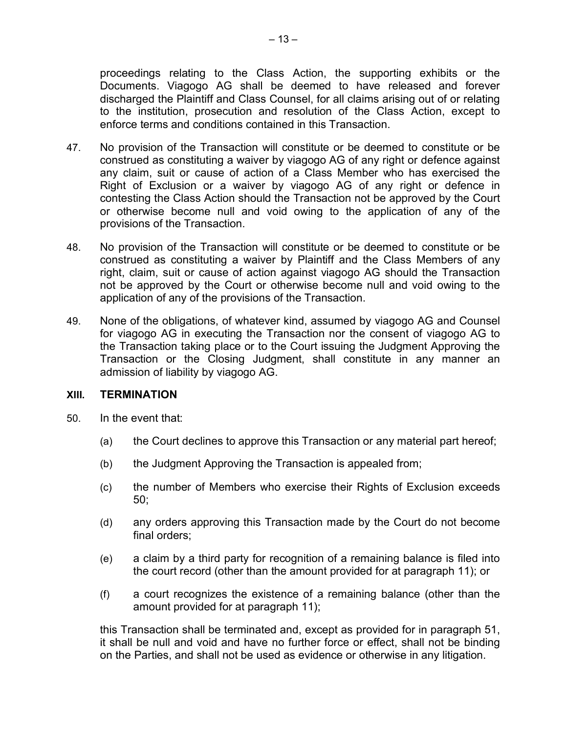proceedings relating to the Class Action, the supporting exhibits or the Documents. Viagogo AG shall be deemed to have released and forever discharged the Plaintiff and Class Counsel, for all claims arising out of or relating to the institution, prosecution and resolution of the Class Action, except to enforce terms and conditions contained in this Transaction.

- 47. No provision of the Transaction will constitute or be deemed to constitute or be construed as constituting a waiver by viagogo AG of any right or defence against any claim, suit or cause of action of a Class Member who has exercised the Right of Exclusion or a waiver by viagogo AG of any right or defence in contesting the Class Action should the Transaction not be approved by the Court or otherwise become null and void owing to the application of any of the provisions of the Transaction.
- 48. No provision of the Transaction will constitute or be deemed to constitute or be construed as constituting a waiver by Plaintiff and the Class Members of any right, claim, suit or cause of action against viagogo AG should the Transaction not be approved by the Court or otherwise become null and void owing to the application of any of the provisions of the Transaction.
- 49. None of the obligations, of whatever kind, assumed by viagogo AG and Counsel for viagogo AG in executing the Transaction nor the consent of viagogo AG to the Transaction taking place or to the Court issuing the Judgment Approving the Transaction or the Closing Judgment, shall constitute in any manner an admission of liability by viagogo AG.

#### **XIII. TERMINATION**

- 50. In the event that:
	- (a) the Court declines to approve this Transaction or any material part hereof;
	- (b) the Judgment Approving the Transaction is appealed from;
	- (c) the number of Members who exercise their Rights of Exclusion exceeds 50;
	- (d) any orders approving this Transaction made by the Court do not become final orders;
	- (e) a claim by a third party for recognition of a remaining balance is filed into the court record (other than the amount provided for at paragraph 11); or
	- (f) a court recognizes the existence of a remaining balance (other than the amount provided for at paragraph 11);

this Transaction shall be terminated and, except as provided for in paragraph 51, it shall be null and void and have no further force or effect, shall not be binding on the Parties, and shall not be used as evidence or otherwise in any litigation.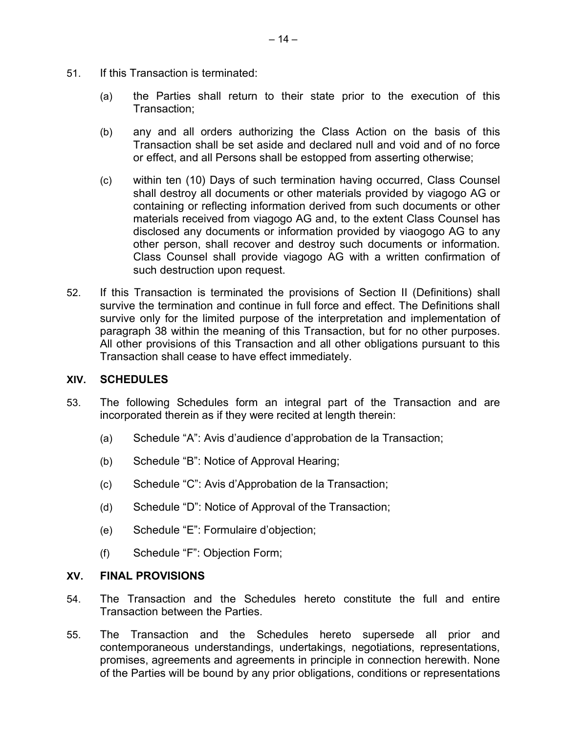- 51. If this Transaction is terminated:
	- (a) the Parties shall return to their state prior to the execution of this Transaction;
	- (b) any and all orders authorizing the Class Action on the basis of this Transaction shall be set aside and declared null and void and of no force or effect, and all Persons shall be estopped from asserting otherwise;
	- (c) within ten (10) Days of such termination having occurred, Class Counsel shall destroy all documents or other materials provided by viagogo AG or containing or reflecting information derived from such documents or other materials received from viagogo AG and, to the extent Class Counsel has disclosed any documents or information provided by viaogogo AG to any other person, shall recover and destroy such documents or information. Class Counsel shall provide viagogo AG with a written confirmation of such destruction upon request.
- 52. If this Transaction is terminated the provisions of Section II (Definitions) shall survive the termination and continue in full force and effect. The Definitions shall survive only for the limited purpose of the interpretation and implementation of paragraph 38 within the meaning of this Transaction, but for no other purposes. All other provisions of this Transaction and all other obligations pursuant to this Transaction shall cease to have effect immediately.

## **XIV. SCHEDULES**

- 53. The following Schedules form an integral part of the Transaction and are incorporated therein as if they were recited at length therein:
	- (a) Schedule "A": Avis d'audience d'approbation de la Transaction;
	- (b) Schedule "B": Notice of Approval Hearing;
	- (c) Schedule "C": Avis d'Approbation de la Transaction;
	- (d) Schedule "D": Notice of Approval of the Transaction;
	- (e) Schedule "E": Formulaire d'objection;
	- (f) Schedule "F": Objection Form;

#### **XV. FINAL PROVISIONS**

- 54. The Transaction and the Schedules hereto constitute the full and entire Transaction between the Parties.
- 55. The Transaction and the Schedules hereto supersede all prior and contemporaneous understandings, undertakings, negotiations, representations, promises, agreements and agreements in principle in connection herewith. None of the Parties will be bound by any prior obligations, conditions or representations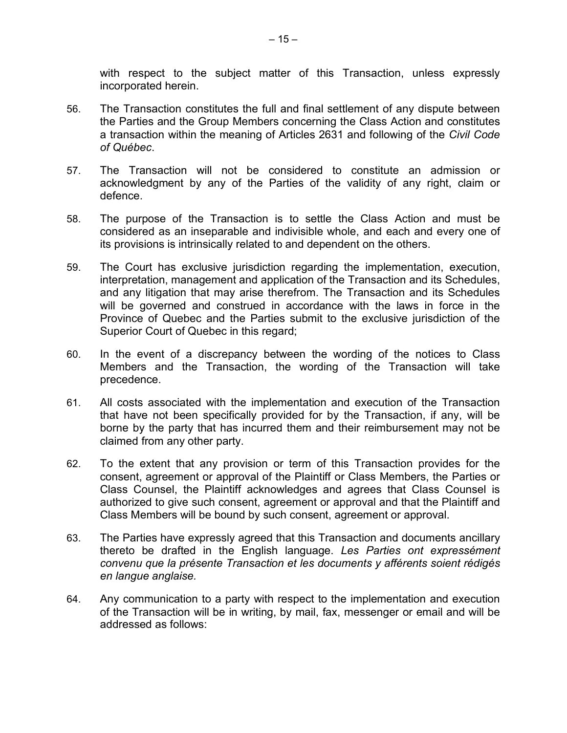with respect to the subject matter of this Transaction, unless expressly incorporated herein.

- 56. The Transaction constitutes the full and final settlement of any dispute between the Parties and the Group Members concerning the Class Action and constitutes a transaction within the meaning of Articles 2631 and following of the *Civil Code of Québec*.
- 57. The Transaction will not be considered to constitute an admission or acknowledgment by any of the Parties of the validity of any right, claim or defence.
- 58. The purpose of the Transaction is to settle the Class Action and must be considered as an inseparable and indivisible whole, and each and every one of its provisions is intrinsically related to and dependent on the others.
- 59. The Court has exclusive jurisdiction regarding the implementation, execution, interpretation, management and application of the Transaction and its Schedules, and any litigation that may arise therefrom. The Transaction and its Schedules will be governed and construed in accordance with the laws in force in the Province of Quebec and the Parties submit to the exclusive jurisdiction of the Superior Court of Quebec in this regard;
- 60. In the event of a discrepancy between the wording of the notices to Class Members and the Transaction, the wording of the Transaction will take precedence.
- 61. All costs associated with the implementation and execution of the Transaction that have not been specifically provided for by the Transaction, if any, will be borne by the party that has incurred them and their reimbursement may not be claimed from any other party.
- 62. To the extent that any provision or term of this Transaction provides for the consent, agreement or approval of the Plaintiff or Class Members, the Parties or Class Counsel, the Plaintiff acknowledges and agrees that Class Counsel is authorized to give such consent, agreement or approval and that the Plaintiff and Class Members will be bound by such consent, agreement or approval.
- 63. The Parties have expressly agreed that this Transaction and documents ancillary thereto be drafted in the English language. *Les Parties ont expressément convenu que la présente Transaction et les documents y afférents soient rédigés en langue anglaise.*
- 64. Any communication to a party with respect to the implementation and execution of the Transaction will be in writing, by mail, fax, messenger or email and will be addressed as follows: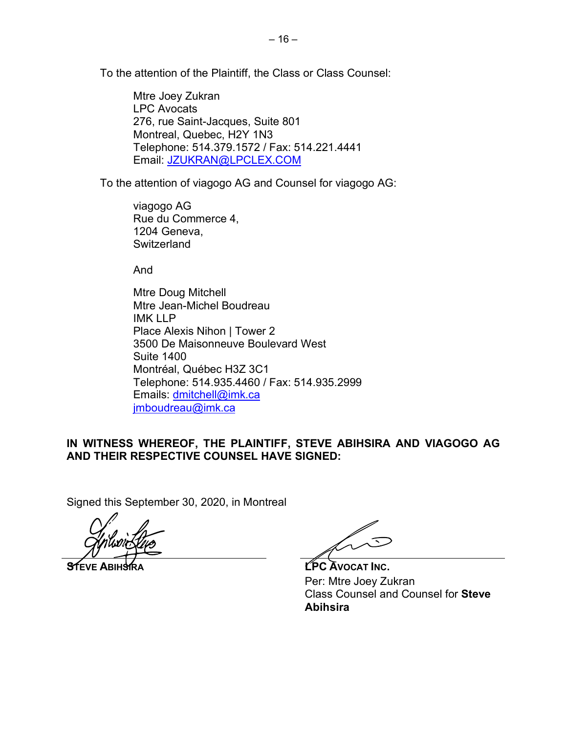To the attention of the Plaintiff, the Class or Class Counsel:

Mtre Joey Zukran LPC Avocats 276, rue Saint-Jacques, Suite 801 Montreal, Quebec, H2Y 1N3 Telephone: 514.379.1572 / Fax: 514.221.4441 Email: JZUKRAN@LPCLEX.COM

To the attention of viagogo AG and Counsel for viagogo AG:

viagogo AG Rue du Commerce 4, 1204 Geneva, **Switzerland** 

And

Mtre Doug Mitchell Mtre Jean-Michel Boudreau IMK LLP Place Alexis Nihon | Tower 2 3500 De Maisonneuve Boulevard West Suite 1400 Montréal, Québec H3Z 3C1 Telephone: 514.935.4460 / Fax: 514.935.2999 Emails: dmitchell@imk.ca imboudreau@imk.ca

# **IN WITNESS WHEREOF, THE PLAINTIFF, STEVE ABIHSIRA AND VIAGOGO AG AND THEIR RESPECTIVE COUNSEL HAVE SIGNED:**

Signed this September 30, 2020, in Montreal

マ

**STEVE ABIHSIRA Let us a later of the CPC** AVOCAT INC. Per: Mtre Joey Zukran Class Counsel and Counsel for **Steve Abihsira**